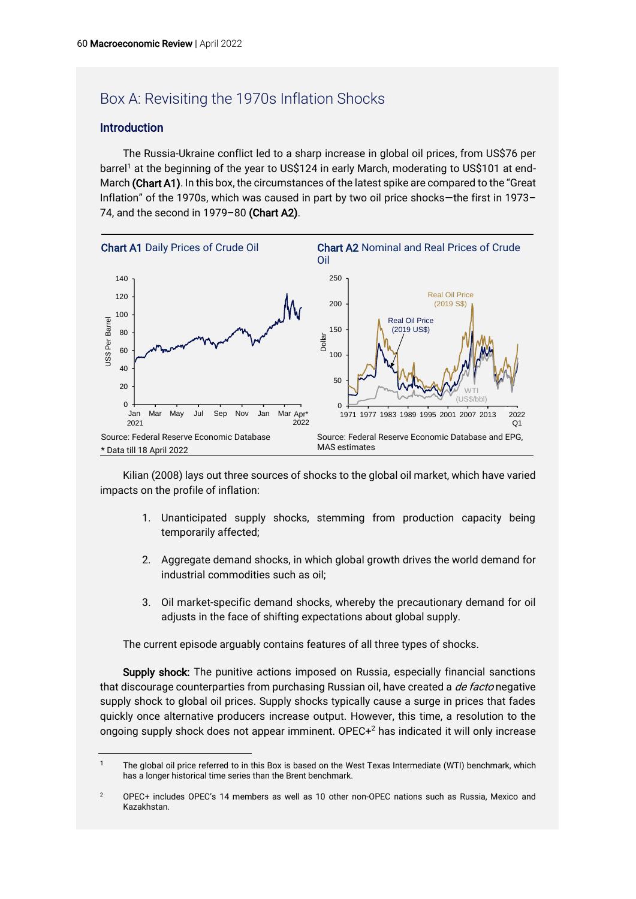# Box A: Revisiting the 1970s Inflation Shocks

## Introduction

The Russia-Ukraine conflict led to a sharp increase in global oil prices, from US\$76 per barrel<sup>1</sup> at the beginning of the year to US\$124 in early March, moderating to US\$101 at end-March (Chart A1). In this box, the circumstances of the latest spike are compared to the "Great Inflation" of the 1970s, which was caused in part by two oil price shocks—the first in 1973– 74, and the second in 1979–80 (Chart A2).



Kilian (2008) lays out three sources of shocks to the global oil market, which have varied impacts on the profile of inflation:

- 1. Unanticipated supply shocks, stemming from production capacity being temporarily affected;
- 2. Aggregate demand shocks, in which global growth drives the world demand for industrial commodities such as oil;
- 3. Oil market-specific demand shocks, whereby the precautionary demand for oil adjusts in the face of shifting expectations about global supply.

The current episode arguably contains features of all three types of shocks.

Supply shock: The punitive actions imposed on Russia, especially financial sanctions that discourage counterparties from purchasing Russian oil, have created a *de facto* negative supply shock to global oil prices. Supply shocks typically cause a surge in prices that fades quickly once alternative producers increase output. However, this time, a resolution to the ongoing supply shock does not appear imminent. OPEC+<sup>2</sup> has indicated it will only increase

The global oil price referred to in this Box is based on the West Texas Intermediate (WTI) benchmark, which has a longer historical time series than the Brent benchmark.

<sup>&</sup>lt;sup>2</sup> OPEC+ includes OPEC's 14 members as well as 10 other non-OPEC nations such as Russia, Mexico and Kazakhstan.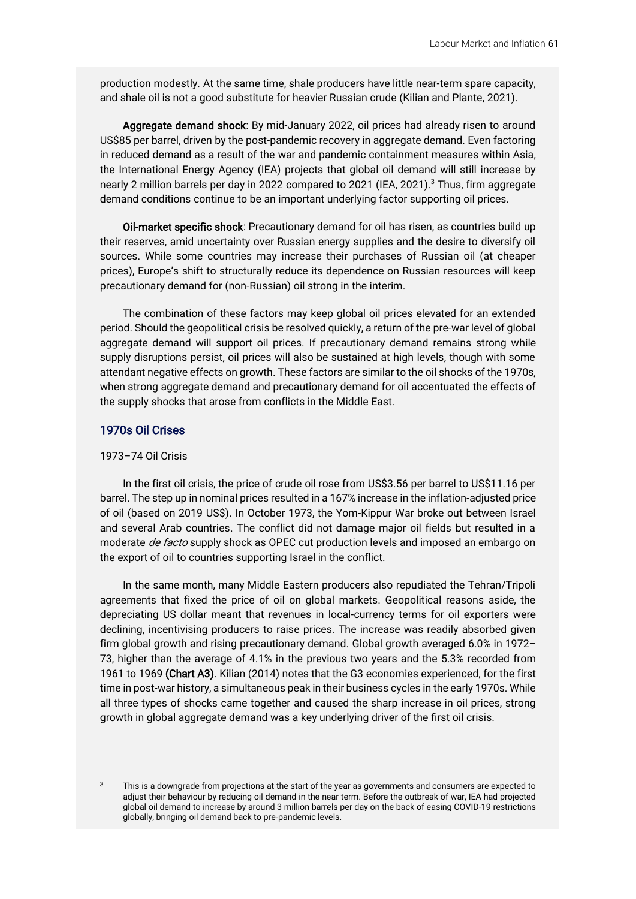production modestly. At the same time, shale producers have little near-term spare capacity, and shale oil is not a good substitute for heavier Russian crude (Kilian and Plante, 2021).

Aggregate demand shock: By mid-January 2022, oil prices had already risen to around US\$85 per barrel, driven by the post-pandemic recovery in aggregate demand. Even factoring in reduced demand as a result of the war and pandemic containment measures within Asia, the International Energy Agency (IEA) projects that global oil demand will still increase by nearly 2 million barrels per day in 2022 compared to 2021 (IEA, 2021). <sup>3</sup> Thus, firm aggregate demand conditions continue to be an important underlying factor supporting oil prices.

Oil-market specific shock: Precautionary demand for oil has risen, as countries build up their reserves, amid uncertainty over Russian energy supplies and the desire to diversify oil sources. While some countries may increase their purchases of Russian oil (at cheaper prices), Europe's shift to structurally reduce its dependence on Russian resources will keep precautionary demand for (non-Russian) oil strong in the interim.

The combination of these factors may keep global oil prices elevated for an extended period. Should the geopolitical crisis be resolved quickly, a return of the pre-war level of global aggregate demand will support oil prices. If precautionary demand remains strong while supply disruptions persist, oil prices will also be sustained at high levels, though with some attendant negative effects on growth. These factors are similar to the oil shocks of the 1970s, when strong aggregate demand and precautionary demand for oil accentuated the effects of the supply shocks that arose from conflicts in the Middle East.

## 1970s Oil Crises

#### 1973–74 Oil Crisis

In the first oil crisis, the price of crude oil rose from US\$3.56 per barrel to US\$11.16 per barrel. The step up in nominal prices resulted in a 167% increase in the inflation-adjusted price of oil (based on 2019 US\$). In October 1973, the Yom-Kippur War broke out between Israel and several Arab countries. The conflict did not damage major oil fields but resulted in a moderate *de facto* supply shock as OPEC cut production levels and imposed an embargo on the export of oil to countries supporting Israel in the conflict.

In the same month, many Middle Eastern producers also repudiated the Tehran/Tripoli agreements that fixed the price of oil on global markets. Geopolitical reasons aside, the depreciating US dollar meant that revenues in local-currency terms for oil exporters were declining, incentivising producers to raise prices. The increase was readily absorbed given firm global growth and rising precautionary demand. Global growth averaged 6.0% in 1972– 73, higher than the average of 4.1% in the previous two years and the 5.3% recorded from 1961 to 1969 (Chart A3). Kilian (2014) notes that the G3 economies experienced, for the first time in post-war history, a simultaneous peak in their business cycles in the early 1970s. While all three types of shocks came together and caused the sharp increase in oil prices, strong growth in global aggregate demand was a key underlying driver of the first oil crisis.

This is a downgrade from projections at the start of the year as governments and consumers are expected to adjust their behaviour by reducing oil demand in the near term. Before the outbreak of war, IEA had projected global oil demand to increase by around 3 million barrels per day on the back of easing COVID-19 restrictions globally, bringing oil demand back to pre-pandemic levels.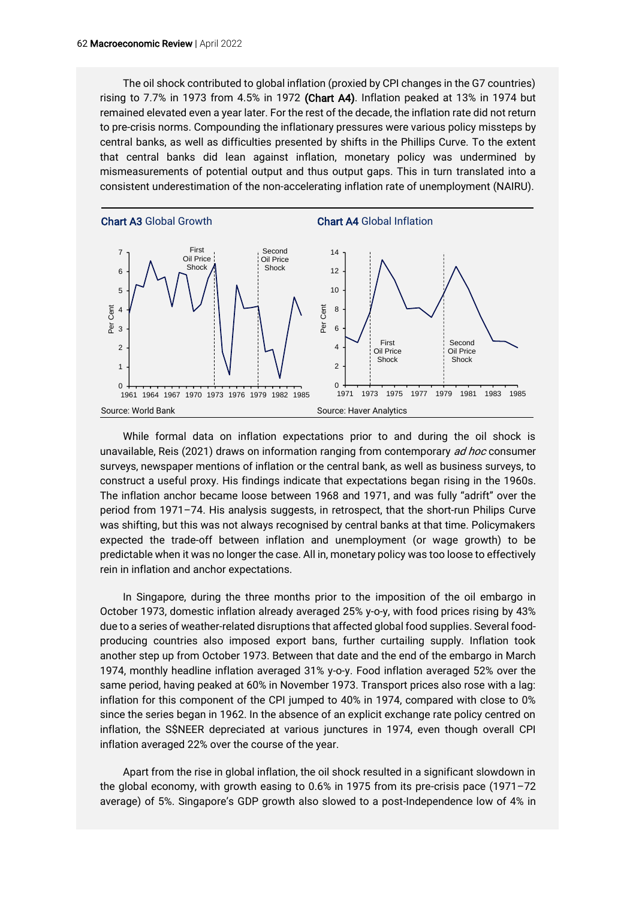The oil shock contributed to global inflation (proxied by CPI changes in the G7 countries) rising to 7.7% in 1973 from 4.5% in 1972 (Chart A4). Inflation peaked at 13% in 1974 but remained elevated even a year later. For the rest of the decade, the inflation rate did not return to pre-crisis norms. Compounding the inflationary pressures were various policy missteps by central banks, as well as difficulties presented by shifts in the Phillips Curve. To the extent that central banks did lean against inflation, monetary policy was undermined by mismeasurements of potential output and thus output gaps. This in turn translated into a consistent underestimation of the non-accelerating inflation rate of unemployment (NAIRU).



While formal data on inflation expectations prior to and during the oil shock is unavailable, Reis (2021) draws on information ranging from contemporary ad hoc consumer surveys, newspaper mentions of inflation or the central bank, as well as business surveys, to construct a useful proxy. His findings indicate that expectations began rising in the 1960s. The inflation anchor became loose between 1968 and 1971, and was fully "adrift" over the period from 1971–74. His analysis suggests, in retrospect, that the short-run Philips Curve was shifting, but this was not always recognised by central banks at that time. Policymakers expected the trade-off between inflation and unemployment (or wage growth) to be predictable when it was no longer the case. All in, monetary policy was too loose to effectively rein in inflation and anchor expectations.

In Singapore, during the three months prior to the imposition of the oil embargo in October 1973, domestic inflation already averaged 25% y-o-y, with food prices rising by 43% due to a series of weather-related disruptions that affected global food supplies. Several foodproducing countries also imposed export bans, further curtailing supply. Inflation took another step up from October 1973. Between that date and the end of the embargo in March 1974, monthly headline inflation averaged 31% y-o-y. Food inflation averaged 52% over the same period, having peaked at 60% in November 1973. Transport prices also rose with a lag: inflation for this component of the CPI jumped to 40% in 1974, compared with close to 0% since the series began in 1962. In the absence of an explicit exchange rate policy centred on inflation, the S\$NEER depreciated at various junctures in 1974, even though overall CPI inflation averaged 22% over the course of the year.

Apart from the rise in global inflation, the oil shock resulted in a significant slowdown in the global economy, with growth easing to 0.6% in 1975 from its pre-crisis pace (1971–72 average) of 5%. Singapore's GDP growth also slowed to a post-Independence low of 4% in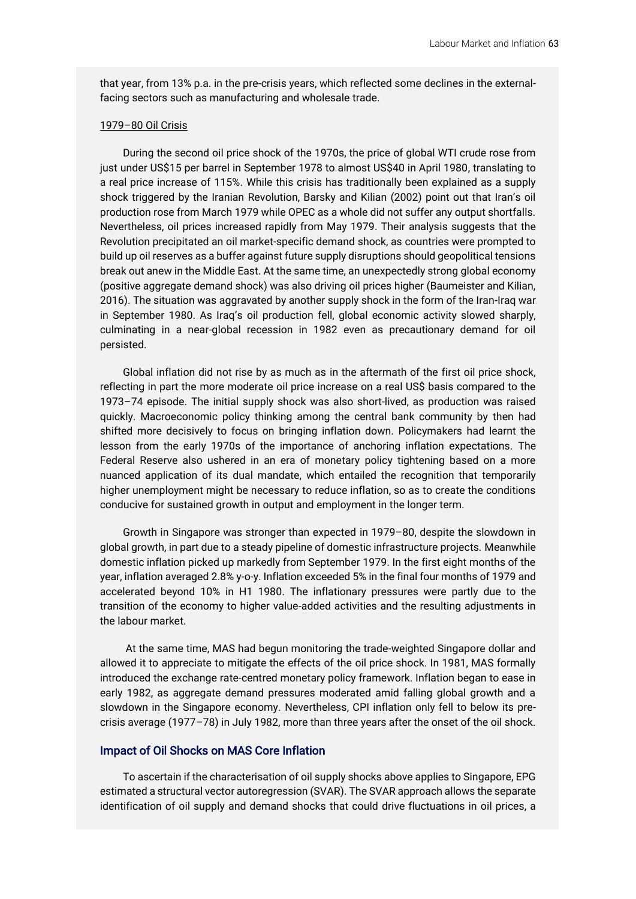that year, from 13% p.a. in the pre-crisis years, which reflected some declines in the externalfacing sectors such as manufacturing and wholesale trade.

#### 1979–80 Oil Crisis

During the second oil price shock of the 1970s, the price of global WTI crude rose from just under US\$15 per barrel in September 1978 to almost US\$40 in April 1980, translating to a real price increase of 115%. While this crisis has traditionally been explained as a supply shock triggered by the Iranian Revolution, Barsky and Kilian (2002) point out that Iran's oil production rose from March 1979 while OPEC as a whole did not suffer any output shortfalls. Nevertheless, oil prices increased rapidly from May 1979. Their analysis suggests that the Revolution precipitated an oil market-specific demand shock, as countries were prompted to build up oil reserves as a buffer against future supply disruptions should geopolitical tensions break out anew in the Middle East. At the same time, an unexpectedly strong global economy (positive aggregate demand shock) was also driving oil prices higher (Baumeister and Kilian, 2016). The situation was aggravated by another supply shock in the form of the Iran-Iraq war in September 1980. As Iraq's oil production fell, global economic activity slowed sharply, culminating in a near-global recession in 1982 even as precautionary demand for oil persisted.

Global inflation did not rise by as much as in the aftermath of the first oil price shock, reflecting in part the more moderate oil price increase on a real US\$ basis compared to the 1973–74 episode. The initial supply shock was also short-lived, as production was raised quickly. Macroeconomic policy thinking among the central bank community by then had shifted more decisively to focus on bringing inflation down. Policymakers had learnt the lesson from the early 1970s of the importance of anchoring inflation expectations. The Federal Reserve also ushered in an era of monetary policy tightening based on a more nuanced application of its dual mandate, which entailed the recognition that temporarily higher unemployment might be necessary to reduce inflation, so as to create the conditions conducive for sustained growth in output and employment in the longer term.

Growth in Singapore was stronger than expected in 1979–80, despite the slowdown in global growth, in part due to a steady pipeline of domestic infrastructure projects. Meanwhile domestic inflation picked up markedly from September 1979. In the first eight months of the year, inflation averaged 2.8% y-o-y. Inflation exceeded 5% in the final four months of 1979 and accelerated beyond 10% in H1 1980. The inflationary pressures were partly due to the transition of the economy to higher value-added activities and the resulting adjustments in the labour market.

At the same time, MAS had begun monitoring the trade-weighted Singapore dollar and allowed it to appreciate to mitigate the effects of the oil price shock. In 1981, MAS formally introduced the exchange rate-centred monetary policy framework. Inflation began to ease in early 1982, as aggregate demand pressures moderated amid falling global growth and a slowdown in the Singapore economy. Nevertheless, CPI inflation only fell to below its precrisis average (1977–78) in July 1982, more than three years after the onset of the oil shock.

### Impact of Oil Shocks on MAS Core Inflation

To ascertain if the characterisation of oil supply shocks above applies to Singapore, EPG estimated a structural vector autoregression (SVAR). The SVAR approach allows the separate identification of oil supply and demand shocks that could drive fluctuations in oil prices, a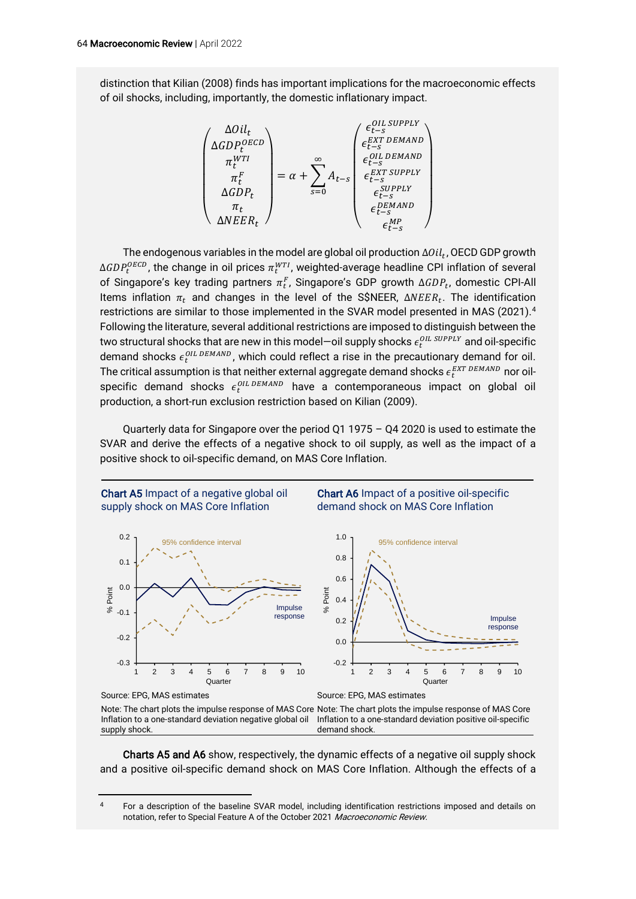distinction that Kilian (2008) finds has important implications for the macroeconomic effects of oil shocks, including, importantly, the domestic inflationary impact.

$$
\left(\begin{array}{c}\Delta Oil_t\\\Delta GDP^{DECD}_t\\\pi_t^{NTI}\\\Delta GDP_t\\\pi_t\\ \Delta NEER_t\end{array}\right)=\alpha+\sum_{s=0}^\infty A_{t-s}\left(\begin{array}{c}\epsilon^{OIL\,SDPPLY}\\\epsilon^{EXP\,EMAND}_{t-s}\\\epsilon^{OIL\,DEMAND}_{t-s}\\\epsilon^{OIL\,DEMAND}_{t-s}\\\epsilon^{EXT\,SUPPLY}_{t-s}\\\epsilon^{SUPPLY}_{t-s}\\\epsilon^{OIPPIY}_{t-s}\\\epsilon^{MP}_{t-s}\end{array}\right)
$$

The endogenous variables in the model are global oil production  $\Delta{Oil}_t$ , OECD GDP growth  $\Delta GDP^{OECD}_{t}$ , the change in oil prices  $\pi_t^{WTI}$ , weighted-average headline CPI inflation of several of Singapore's key trading partners  $\pi_t^F$ , Singapore's GDP growth Δ $GDP_t$ , domestic CPI-All Items inflation  $\pi_t$  and changes in the level of the S\$NEER,  $\Delta NEER_t$ . The identification restrictions are similar to those implemented in the SVAR model presented in MAS (2021).<sup>4</sup> Following the literature, several additional restrictions are imposed to distinguish between the two structural shocks that are new in this model—oil supply shocks  $\epsilon_t^{\mathit{OLL} \, \mathit{SUPPLY}}$  and oil-specific demand shocks  $\epsilon_t^{OIL\,DEMAND}$ , which could reflect a rise in the precautionary demand for oil. The critical assumption is that neither external aggregate demand shocks  $\epsilon_{t}^{\mathit{EXT\,DEMAND}}$  nor oilspecific demand shocks  $\epsilon_t^{OIL\,DEMAND}$  have a contemporaneous impact on global oil production, a short-run exclusion restriction based on Kilian (2009).

Quarterly data for Singapore over the period Q1 1975 – Q4 2020 is used to estimate the SVAR and derive the effects of a negative shock to oil supply, as well as the impact of a positive shock to oil-specific demand, on MAS Core Inflation.



Charts A5 and A6 show, respectively, the dynamic effects of a negative oil supply shock and a positive oil-specific demand shock on MAS Core Inflation. Although the effects of a

<sup>4</sup> For a description of the baseline SVAR model, including identification restrictions imposed and details on notation, refer to Special Feature A of the October 2021 Macroeconomic Review.